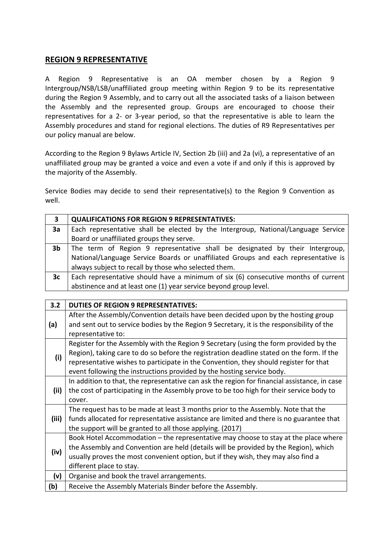## **REGION 9 REPRESENTATIVE**

A Region 9 Representative is an OA member chosen by a Region 9 Intergroup/NSB/LSB/unaffiliated group meeting within Region 9 to be its representative during the Region 9 Assembly, and to carry out all the associated tasks of a liaison between the Assembly and the represented group. Groups are encouraged to choose their representatives for a 2- or 3-year period, so that the representative is able to learn the Assembly procedures and stand for regional elections. The duties of R9 Representatives per our policy manual are below.

According to the Region 9 Bylaws Article IV, Section 2b (iii) and 2a (vi), a representative of an unaffiliated group may be granted a voice and even a vote if and only if this is approved by the majority of the Assembly.

Service Bodies may decide to send their representative(s) to the Region 9 Convention as well.

| 3              | <b>QUALIFICATIONS FOR REGION 9 REPRESENTATIVES:</b>                                |
|----------------|------------------------------------------------------------------------------------|
| 3a             | Each representative shall be elected by the Intergroup, National/Language Service  |
|                | Board or unaffiliated groups they serve.                                           |
| 3 <sub>b</sub> | The term of Region 9 representative shall be designated by their Intergroup,       |
|                | National/Language Service Boards or unaffiliated Groups and each representative is |
|                | always subject to recall by those who selected them.                               |
| 3c             | Each representative should have a minimum of six (6) consecutive months of current |
|                | abstinence and at least one (1) year service beyond group level.                   |

| 3.2   | <b>DUTIES OF REGION 9 REPRESENTATIVES:</b>                                                   |
|-------|----------------------------------------------------------------------------------------------|
| (a)   | After the Assembly/Convention details have been decided upon by the hosting group            |
|       | and sent out to service bodies by the Region 9 Secretary, it is the responsibility of the    |
|       | representative to:                                                                           |
| (i)   | Register for the Assembly with the Region 9 Secretary (using the form provided by the        |
|       | Region), taking care to do so before the registration deadline stated on the form. If the    |
|       | representative wishes to participate in the Convention, they should register for that        |
|       | event following the instructions provided by the hosting service body.                       |
| (ii)  | In addition to that, the representative can ask the region for financial assistance, in case |
|       | the cost of participating in the Assembly prove to be too high for their service body to     |
|       | cover.                                                                                       |
|       | The request has to be made at least 3 months prior to the Assembly. Note that the            |
| (iii) | funds allocated for representative assistance are limited and there is no guarantee that     |
|       | the support will be granted to all those applying. (2017)                                    |
|       | Book Hotel Accommodation – the representative may choose to stay at the place where          |
|       | the Assembly and Convention are held (details will be provided by the Region), which         |
| (iv)  | usually proves the most convenient option, but if they wish, they may also find a            |
|       | different place to stay.                                                                     |
| (v)   | Organise and book the travel arrangements.                                                   |
| (b)   | Receive the Assembly Materials Binder before the Assembly.                                   |